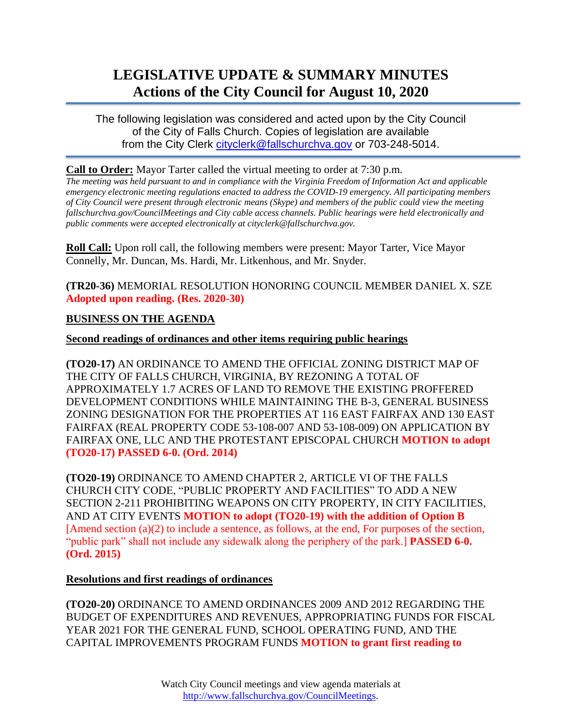# **LEGISLATIVE UPDATE & SUMMARY MINUTES Actions of the City Council for August 10, 2020**

The following legislation was considered and acted upon by the City Council of the City of Falls Church. Copies of legislation are available from the City Clerk [cityclerk@fallschurchva.gov](mailto:cityclerk@fallschurchva.gov) or 703-248-5014.

#### **Call to Order:** Mayor Tarter called the virtual meeting to order at 7:30 p.m.

*The meeting was held pursuant to and in compliance with the Virginia Freedom of Information Act and applicable emergency electronic meeting regulations enacted to address the COVID-19 emergency. All participating members of City Council were present through electronic means (Skype) and members of the public could view the meeting fallschurchva.gov/CouncilMeetings and City cable access channels. Public hearings were held electronically and public comments were accepted electronically at cityclerk@fallschurchva.gov.*

**Roll Call:** Upon roll call, the following members were present: Mayor Tarter, Vice Mayor Connelly, Mr. Duncan, Ms. Hardi, Mr. Litkenhous, and Mr. Snyder.

**(TR20-36)** MEMORIAL RESOLUTION HONORING COUNCIL MEMBER DANIEL X. SZE **Adopted upon reading. (Res. 2020-30)**

### **BUSINESS ON THE AGENDA**

### **Second readings of ordinances and other items requiring public hearings**

**(TO20-17)** AN ORDINANCE TO AMEND THE OFFICIAL ZONING DISTRICT MAP OF THE CITY OF FALLS CHURCH, VIRGINIA, BY REZONING A TOTAL OF APPROXIMATELY 1.7 ACRES OF LAND TO REMOVE THE EXISTING PROFFERED DEVELOPMENT CONDITIONS WHILE MAINTAINING THE B-3, GENERAL BUSINESS ZONING DESIGNATION FOR THE PROPERTIES AT 116 EAST FAIRFAX AND 130 EAST FAIRFAX (REAL PROPERTY CODE 53-108-007 AND 53-108-009) ON APPLICATION BY FAIRFAX ONE, LLC AND THE PROTESTANT EPISCOPAL CHURCH **MOTION to adopt (TO20-17) PASSED 6-0. (Ord. 2014)**

**(TO20-19)** ORDINANCE TO AMEND CHAPTER 2, ARTICLE VI OF THE FALLS CHURCH CITY CODE, "PUBLIC PROPERTY AND FACILITIES" TO ADD A NEW SECTION 2-211 PROHIBITING WEAPONS ON CITY PROPERTY, IN CITY FACILITIES, AND AT CITY EVENTS **MOTION to adopt (TO20-19) with the addition of Option B**  [Amend section (a)(2) to include a sentence, as follows, at the end, For purposes of the section, "public park" shall not include any sidewalk along the periphery of the park.] **PASSED 6-0. (Ord. 2015)**

#### **Resolutions and first readings of ordinances**

**(TO20-20)** ORDINANCE TO AMEND ORDINANCES 2009 AND 2012 REGARDING THE BUDGET OF EXPENDITURES AND REVENUES, APPROPRIATING FUNDS FOR FISCAL YEAR 2021 FOR THE GENERAL FUND, SCHOOL OPERATING FUND, AND THE CAPITAL IMPROVEMENTS PROGRAM FUNDS **MOTION to grant first reading to**